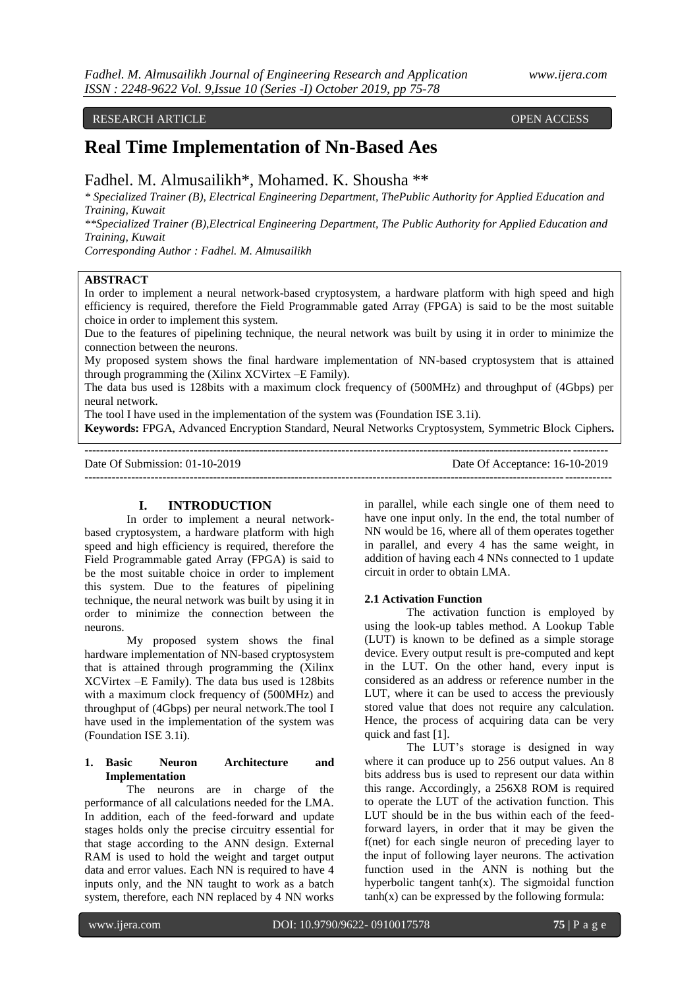## RESEARCH ARTICLE **CONSERVERS** OPEN ACCESS

# **Real Time Implementation of Nn-Based Aes**

## Fadhel. M. Almusailikh\*, Mohamed. K. Shousha \*\*

*\* Specialized Trainer (B), Electrical Engineering Department, ThePublic Authority for Applied Education and Training, Kuwait*

*\*\*Specialized Trainer (B),Electrical Engineering Department, The Public Authority for Applied Education and Training, Kuwait*

*Corresponding Author : Fadhel. M. Almusailikh*

## **ABSTRACT**

In order to implement a neural network-based cryptosystem, a hardware platform with high speed and high efficiency is required, therefore the Field Programmable gated Array (FPGA) is said to be the most suitable choice in order to implement this system.

Due to the features of pipelining technique, the neural network was built by using it in order to minimize the connection between the neurons.

My proposed system shows the final hardware implementation of NN-based cryptosystem that is attained through programming the (Xilinx XCVirtex –E Family).

The data bus used is 128bits with a maximum clock frequency of (500MHz) and throughput of (4Gbps) per neural network.

The tool I have used in the implementation of the system was (Foundation ISE 3.1i).

**Keywords:** FPGA, Advanced Encryption Standard, Neural Networks Cryptosystem, Symmetric Block Ciphers**.**

--------------------------------------------------------------------------------------------------------------------------------------

 $-1-\frac{1}{2}$ 

| Date Of Submission: 01-10-2019 |  |
|--------------------------------|--|
|--------------------------------|--|

Date Of Acceptance: 16-10-2019

## **I. INTRODUCTION**

In order to implement a neural networkbased cryptosystem, a hardware platform with high speed and high efficiency is required, therefore the Field Programmable gated Array (FPGA) is said to be the most suitable choice in order to implement this system. Due to the features of pipelining technique, the neural network was built by using it in order to minimize the connection between the neurons.

My proposed system shows the final hardware implementation of NN-based cryptosystem that is attained through programming the (Xilinx XCVirtex –E Family). The data bus used is 128bits with a maximum clock frequency of (500MHz) and throughput of (4Gbps) per neural network.The tool I have used in the implementation of the system was (Foundation ISE 3.1i).

## **1. Basic Neuron Architecture and Implementation**

The neurons are in charge of the performance of all calculations needed for the LMA. In addition, each of the feed-forward and update stages holds only the precise circuitry essential for that stage according to the ANN design. External RAM is used to hold the weight and target output data and error values. Each NN is required to have 4 inputs only, and the NN taught to work as a batch system, therefore, each NN replaced by 4 NN works

in parallel, while each single one of them need to have one input only. In the end, the total number of NN would be 16, where all of them operates together in parallel, and every 4 has the same weight, in addition of having each 4 NNs connected to 1 update circuit in order to obtain LMA.

#### **2.1 Activation Function**

The activation function is employed by using the look-up tables method. A Lookup Table (LUT) is known to be defined as a simple storage device. Every output result is pre-computed and kept in the LUT. On the other hand, every input is considered as an address or reference number in the LUT, where it can be used to access the previously stored value that does not require any calculation. Hence, the process of acquiring data can be very quick and fast [1].

The LUT's storage is designed in way where it can produce up to 256 output values. An 8 bits address bus is used to represent our data within this range. Accordingly, a 256X8 ROM is required to operate the LUT of the activation function. This LUT should be in the bus within each of the feedforward layers, in order that it may be given the f(net) for each single neuron of preceding layer to the input of following layer neurons. The activation function used in the ANN is nothing but the hyperbolic tangent  $tanh(x)$ . The sigmoidal function  $tanh(x)$  can be expressed by the following formula: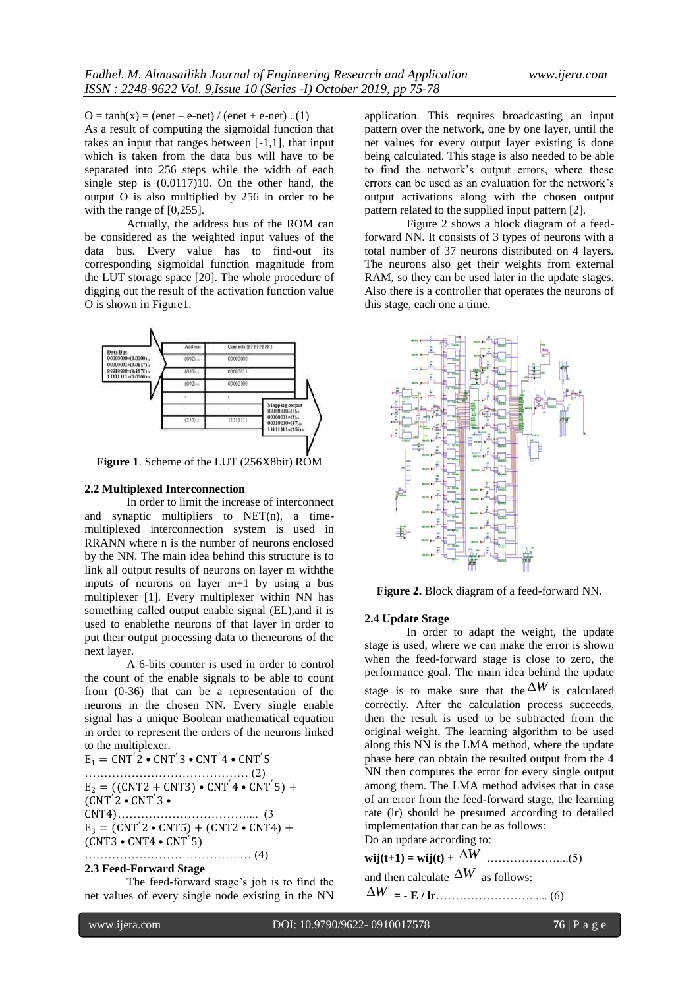$O = \tanh(x) = (enet - e-net) / (enet + e-net) ... (1)$ As a result of computing the sigmoidal function that takes an input that ranges between [-1,1], that input which is taken from the data bus will have to be separated into 256 steps while the width of each single step is (0.0117)10. On the other hand, the output O is also multiplied by 256 in order to be with the range of [0,255].

Actually, the address bus of the ROM can be considered as the weighted input values of the data bus. Every value has to find-out its corresponding sigmoidal function magnitude from the LUT storage space [20]. The whole procedure of digging out the result of the activation function value O is shown in Figure1.



**Figure 1**. Scheme of the LUT (256X8bit) ROM

#### **2.2 Multiplexed Interconnection**

In order to limit the increase of interconnect and synaptic multipliers to NET(n), a timemultiplexed interconnection system is used in RRANN where n is the number of neurons enclosed by the NN. The main idea behind this structure is to link all output results of neurons on layer m withthe inputs of neurons on layer m+1 by using a bus multiplexer [1]. Every multiplexer within NN has something called output enable signal (EL),and it is used to enablethe neurons of that layer in order to put their output processing data to theneurons of the next layer.

A 6-bits counter is used in order to control the count of the enable signals to be able to count from (0-36) that can be a representation of the neurons in the chosen NN. Every single enable signal has a unique Boolean mathematical equation in order to represent the orders of the neurons linked to the multiplexer.

 $E_1 = CNT'2 \cdot CNT'3 \cdot CNT'4 \cdot CNT'5$ …………………………………… (2)  $E_2 = ((CNT2 + CNT3) \cdot CNT' 4 \cdot CNT' 5) +$  $(CNT'2 \cdot CNT'3 \cdot$ CNT4)…………………………….... (3  $E_3 = (CNT'2 \cdot CNT5) + (CNT2 \cdot CNT4) +$ (CNT3 • CNT4 • CNT ′5) ………………………………….… (4)

## **2.3 Feed-Forward Stage**

The feed-forward stage's job is to find the net values of every single node existing in the NN application. This requires broadcasting an input pattern over the network, one by one layer, until the net values for every output layer existing is done being calculated. This stage is also needed to be able to find the network's output errors, where these errors can be used as an evaluation for the network's output activations along with the chosen output pattern related to the supplied input pattern [2].

Figure 2 shows a block diagram of a feedforward NN. It consists of 3 types of neurons with a total number of 37 neurons distributed on 4 layers. The neurons also get their weights from external RAM, so they can be used later in the update stages. Also there is a controller that operates the neurons of this stage, each one a time.



**Figure 2.** Block diagram of a feed-forward NN.

#### **2.4 Update Stage**

In order to adapt the weight, the update stage is used, where we can make the error is shown when the feed-forward stage is close to zero, the performance goal. The main idea behind the update stage is to make sure that the  $\Delta W$  is calculated correctly. After the calculation process succeeds, then the result is used to be subtracted from the original weight. The learning algorithm to be used along this NN is the LMA method, where the update phase here can obtain the resulted output from the 4 NN then computes the error for every single output among them. The LMA method advises that in case of an error from the feed-forward stage, the learning rate (lr) should be presumed according to detailed implementation that can be as follows: Do an update according to:

**wij(t+1) = wij(t) +**  *W* ………………....(5)

and then calculate  $\Delta W$  as follows:

*W* **= - E / lr**……………………...... (6)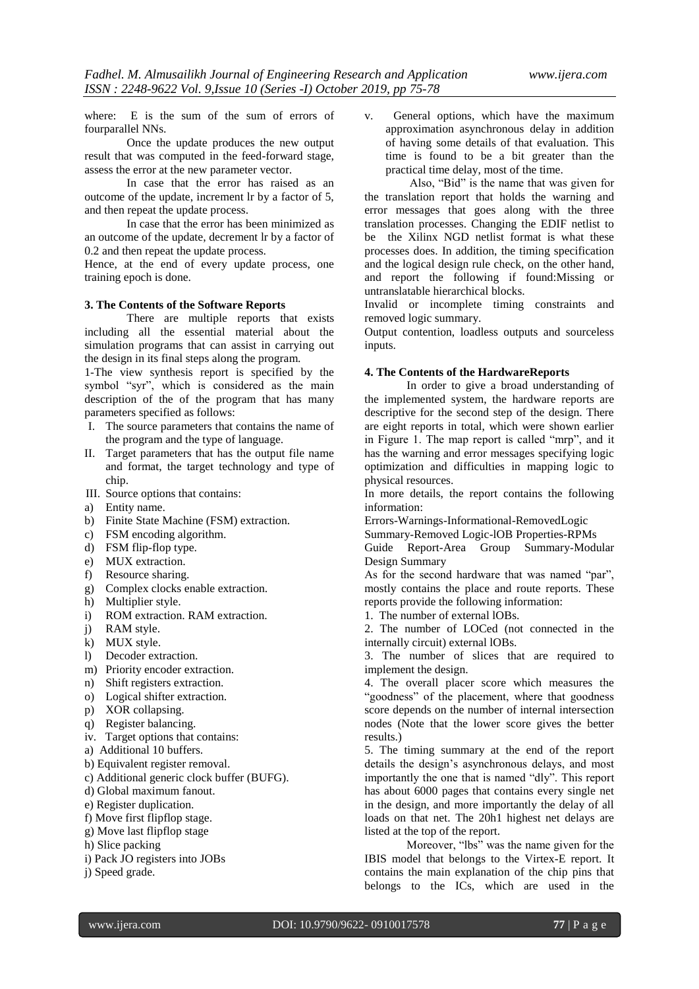where: E is the sum of the sum of errors of fourparallel NNs.

Once the update produces the new output result that was computed in the feed-forward stage, assess the error at the new parameter vector.

In case that the error has raised as an outcome of the update, increment lr by a factor of 5, and then repeat the update process.

In case that the error has been minimized as an outcome of the update, decrement lr by a factor of 0.2 and then repeat the update process.

Hence, at the end of every update process, one training epoch is done.

### **3. The Contents of the Software Reports**

There are multiple reports that exists including all the essential material about the simulation programs that can assist in carrying out the design in its final steps along the program.

1-The view synthesis report is specified by the symbol "syr", which is considered as the main description of the of the program that has many parameters specified as follows:

- I. The source parameters that contains the name of the program and the type of language.
- II. Target parameters that has the output file name and format, the target technology and type of chip.
- III. Source options that contains:
- a) Entity name.
- b) Finite State Machine (FSM) extraction.
- c) FSM encoding algorithm.
- d) FSM flip-flop type.
- e) MUX extraction.
- f) Resource sharing.
- g) Complex clocks enable extraction.
- h) Multiplier style.
- i) ROM extraction. RAM extraction.
- j) RAM style.
- k) MUX style.
- l) Decoder extraction.
- m) Priority encoder extraction.
- n) Shift registers extraction.
- o) Logical shifter extraction.
- p) XOR collapsing.
- q) Register balancing.
- iv. Target options that contains:
- a) Additional 10 buffers.
- b) Equivalent register removal.
- c) Additional generic clock buffer (BUFG).
- d) Global maximum fanout.
- e) Register duplication.
- f) Move first flipflop stage.
- g) Move last flipflop stage
- h) Slice packing
- i) Pack JO registers into JOBs
- j) Speed grade.

v. General options, which have the maximum approximation asynchronous delay in addition of having some details of that evaluation. This time is found to be a bit greater than the practical time delay, most of the time.

Also, "Bid" is the name that was given for the translation report that holds the warning and error messages that goes along with the three translation processes. Changing the EDIF netlist to be the Xilinx NGD netlist format is what these processes does. In addition, the timing specification and the logical design rule check, on the other hand, and report the following if found:Missing or untranslatable hierarchical blocks.

Invalid or incomplete timing constraints and removed logic summary.

Output contention, loadless outputs and sourceless inputs.

#### **4. The Contents of the HardwareReports**

In order to give a broad understanding of the implemented system, the hardware reports are descriptive for the second step of the design. There are eight reports in total, which were shown earlier in Figure 1. The map report is called "mrp", and it has the warning and error messages specifying logic optimization and difficulties in mapping logic to physical resources.

In more details, the report contains the following information:

Errors-Warnings-Informational-RemovedLogic

Summary-Removed Logic-lOB Properties-RPMs

Guide Report-Area Group Summary-Modular Design Summary

As for the second hardware that was named "par", mostly contains the place and route reports. These reports provide the following information:

1. The number of external lOBs.

2. The number of LOCed (not connected in the internally circuit) external lOBs.

3. The number of slices that are required to implement the design.

4. The overall placer score which measures the "goodness" of the placement, where that goodness score depends on the number of internal intersection nodes (Note that the lower score gives the better results.)

5. The timing summary at the end of the report details the design's asynchronous delays, and most importantly the one that is named "dly". This report has about 6000 pages that contains every single net in the design, and more importantly the delay of all loads on that net. The 20h1 highest net delays are listed at the top of the report.

Moreover, "lbs" was the name given for the IBIS model that belongs to the Virtex-E report. It contains the main explanation of the chip pins that belongs to the ICs, which are used in the